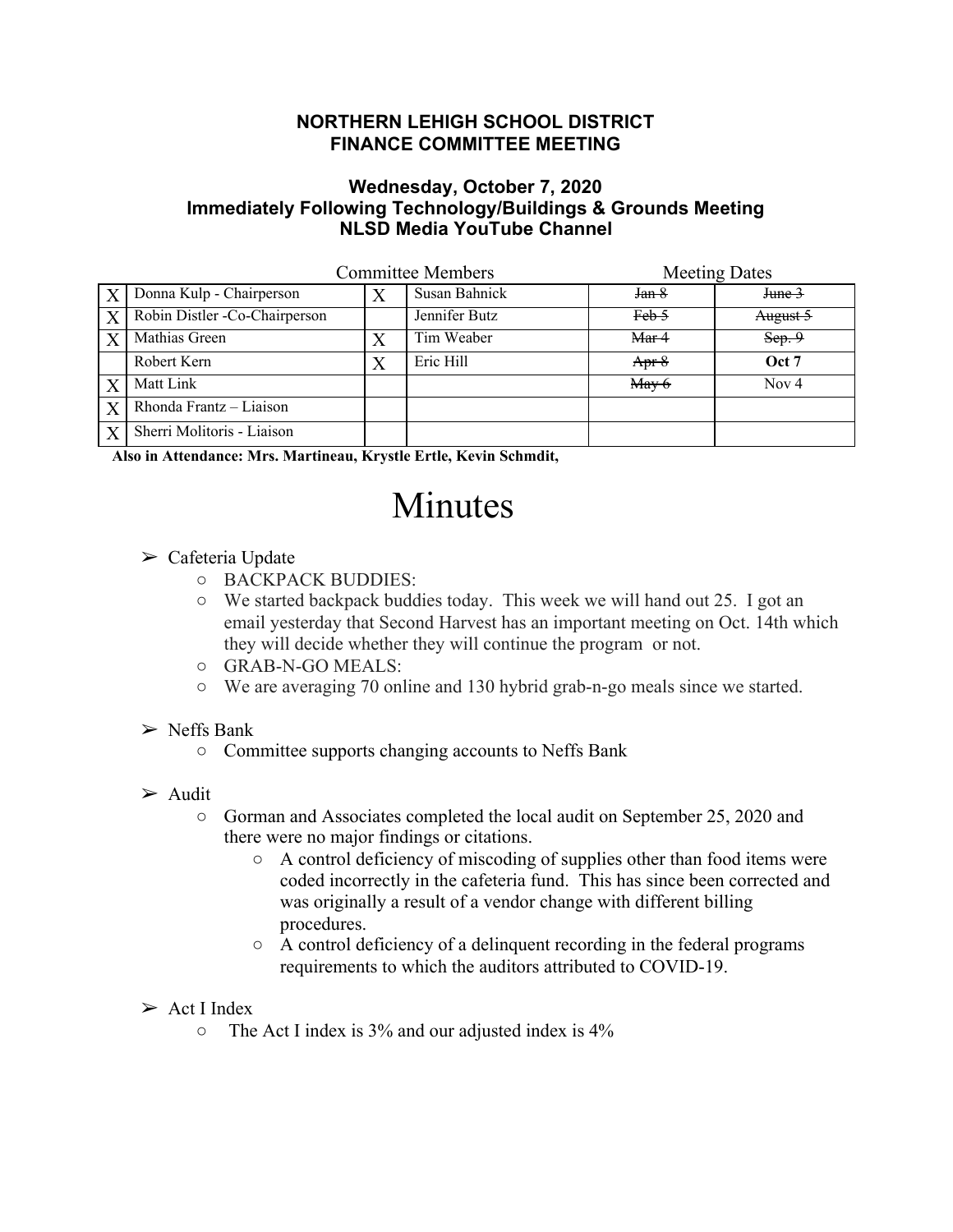## **NORTHERN LEHIGH SCHOOL DISTRICT FINANCE COMMITTEE MEETING**

## **Wednesday, October 7, 2020 Immediately Following Technology/Buildings & Grounds Meeting NLSD Media YouTube Channel**

|                  |                               | <b>Committee Members</b> |               |                 | <b>Meeting Dates</b> |  |
|------------------|-------------------------------|--------------------------|---------------|-----------------|----------------------|--|
| $\boldsymbol{X}$ | Donna Kulp - Chairperson      |                          | Susan Bahnick | Jan 8           | June 3               |  |
| X                | Robin Distler -Co-Chairperson |                          | Jennifer Butz | Feb 5           | August 5             |  |
| X                | Mathias Green                 |                          | Tim Weaber    | Mar 4           | Sep.9                |  |
|                  | Robert Kern                   |                          | Eric Hill     | Apr 8           | Oct 7                |  |
| $\boldsymbol{X}$ | Matt Link                     |                          |               | $\text{May } 6$ | Nov $4$              |  |
| X                | Rhonda Frantz - Liaison       |                          |               |                 |                      |  |
| $\overline{X}$   | Sherri Molitoris - Liaison    |                          |               |                 |                      |  |

**Also in Attendance: Mrs. Martineau, Krystle Ertle, Kevin Schmdit,**

## Minutes

- $\triangleright$  Cafeteria Update
	- BACKPACK BUDDIES:
	- $\circ$  We started backpack buddies today. This week we will hand out 25. I got an email yesterday that Second Harvest has an important meeting on Oct. 14th which they will decide whether they will continue the program or not.
	- GRAB-N-GO MEALS:
	- We are averaging 70 online and 130 hybrid grab-n-go meals since we started.
- $\triangleright$  Neffs Bank
	- Committee supports changing accounts to Neffs Bank
- $\triangleright$  Audit
	- Gorman and Associates completed the local audit on September 25, 2020 and there were no major findings or citations.
		- A control deficiency of miscoding of supplies other than food items were coded incorrectly in the cafeteria fund. This has since been corrected and was originally a result of a vendor change with different billing procedures.
		- A control deficiency of a delinquent recording in the federal programs requirements to which the auditors attributed to COVID-19.
- $\triangleright$  Act I Index
	- The Act I index is 3% and our adjusted index is 4%